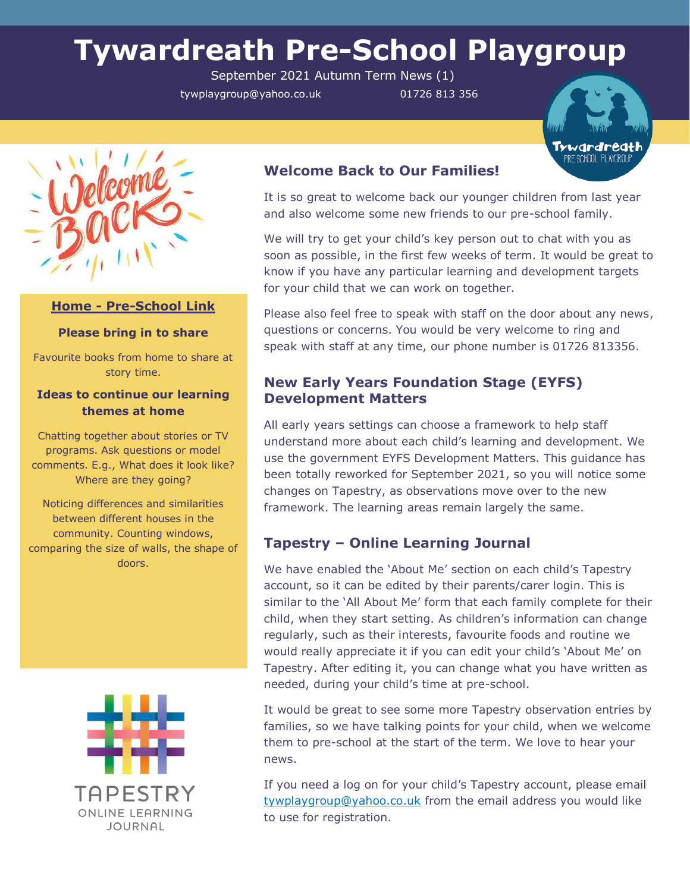# **Tywardreath Pre-School Playgroup**

September 2021 Autumn Term News (1)

tywplaygroup@yahoo.co.uk 01726 813 356





## **Home - Pre-School Link**

#### **Please bring in to share**

Favourite books from home to share at story time.

### **Ideas to continue our learning themes at home**

Chatting together about stories or TV programs. Ask questions or model comments. E.g., What does it look like? Where are they going?

Noticing differences and similarities between different houses in the community. Counting windows, comparing the size of walls, the shape of doors.



# **Welcome Back to Our Families!**

It is so great to welcome back our younger children from last year and also welcome some new friends to our pre-school family.

We will try to get your child's key person out to chat with you as soon as possible, in the first few weeks of term. It would be great to know if you have any particular learning and development targets for your child that we can work on together.

Please also feel free to speak with staff on the door about any news, questions or concerns. You would be very welcome to ring and speak with staff at any time, our phone number is 01726 813356.

# **New Early Years Foundation Stage (EYFS) Development Matters**

All early years settings can choose a framework to help staff understand more about each child's learning and development. We use the government EYFS Development Matters. This guidance has been totally reworked for September 2021, so you will notice some changes on Tapestry, as observations move over to the new framework. The learning areas remain largely the same.

# **Tapestry – Online Learning Journal**

We have enabled the 'About Me' section on each child's Tapestry account, so it can be edited by their parents/carer login. This is similar to the 'All About Me' form that each family complete for their child, when they start setting. As children's information can change regularly, such as their interests, favourite foods and routine we would really appreciate it if you can edit your child's 'About Me' on Tapestry. After editing it, you can change what you have written as needed, during your child's time at pre-school.

It would be great to see some more Tapestry observation entries by families, so we have talking points for your child, when we welcome them to pre-school at the start of the term. We love to hear your news.

If you need a log on for your child's Tapestry account, please email [tywplaygroup@yahoo.co.uk](mailto:tywplaygroup@yahoo.co.uk) from the email address you would like to use for registration.